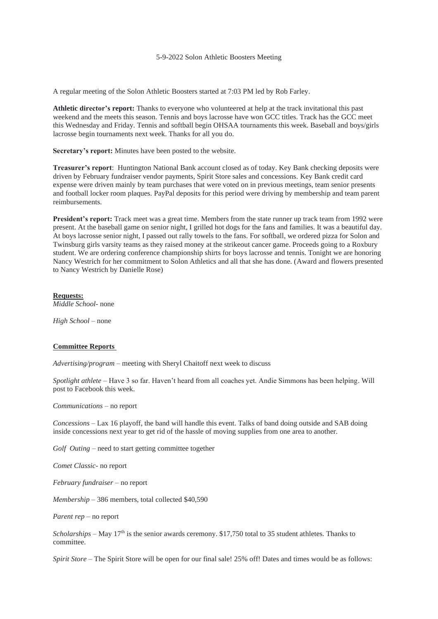## 5-9-2022 Solon Athletic Boosters Meeting

A regular meeting of the Solon Athletic Boosters started at 7:03 PM led by Rob Farley.

**Athletic director's report:** Thanks to everyone who volunteered at help at the track invitational this past weekend and the meets this season. Tennis and boys lacrosse have won GCC titles. Track has the GCC meet this Wednesday and Friday. Tennis and softball begin OHSAA tournaments this week. Baseball and boys/girls lacrosse begin tournaments next week. Thanks for all you do.

**Secretary's report:** Minutes have been posted to the website.

**Treasurer's report**: Huntington National Bank account closed as of today. Key Bank checking deposits were driven by February fundraiser vendor payments, Spirit Store sales and concessions. Key Bank credit card expense were driven mainly by team purchases that were voted on in previous meetings, team senior presents and football locker room plaques. PayPal deposits for this period were driving by membership and team parent reimbursements.

**President's report:** Track meet was a great time. Members from the state runner up track team from 1992 were present. At the baseball game on senior night, I grilled hot dogs for the fans and families. It was a beautiful day. At boys lacrosse senior night, I passed out rally towels to the fans. For softball, we ordered pizza for Solon and Twinsburg girls varsity teams as they raised money at the strikeout cancer game. Proceeds going to a Roxbury student. We are ordering conference championship shirts for boys lacrosse and tennis. Tonight we are honoring Nancy Westrich for her commitment to Solon Athletics and all that she has done. (Award and flowers presented to Nancy Westrich by Danielle Rose)

**Requests:** *Middle School*- none

*High School* – none

## **Committee Reports**

*Advertising/program* – meeting with Sheryl Chaitoff next week to discuss

*Spotlight athlete* – Have 3 so far. Haven't heard from all coaches yet. Andie Simmons has been helping. Will post to Facebook this week.

*Communications* – no report

*Concessions* – Lax 16 playoff, the band will handle this event. Talks of band doing outside and SAB doing inside concessions next year to get rid of the hassle of moving supplies from one area to another.

*Golf Outing –* need to start getting committee together

*Comet Classic*- no report

*February fundraiser* – no report

*Membership* – 386 members, total collected \$40,590

*Parent rep* – no report

*Scholarships* – May 17th is the senior awards ceremony. \$17,750 total to 35 student athletes. Thanks to committee.

*Spirit Store –* The Spirit Store will be open for our final sale! 25% off! Dates and times would be as follows: